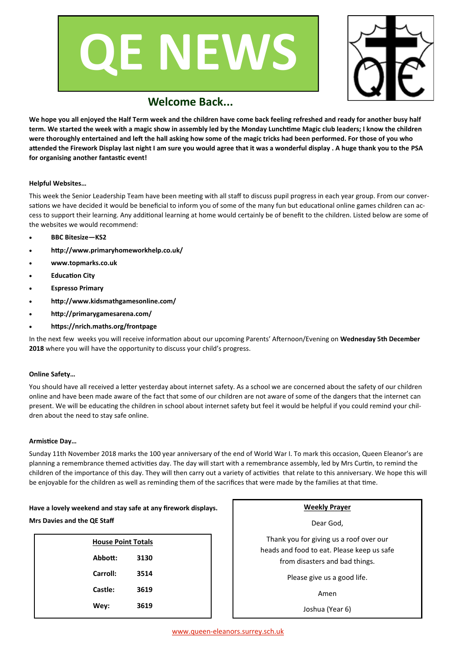



# **Welcome Back...**

**We hope you all enjoyed the Half Term week and the children have come back feeling refreshed and ready for another busy half term. We started the week with a magic show in assembly led by the Monday Lunchtime Magic club leaders; I know the children were thoroughly entertained and left the hall asking how some of the magic tricks had been performed. For those of you who attended the Firework Display last night I am sure you would agree that it was a wonderful display . A huge thank you to the PSA for organising another fantastic event!**

#### **Helpful Websites…**

This week the Senior Leadership Team have been meeting with all staff to discuss pupil progress in each year group. From our conversations we have decided it would be beneficial to inform you of some of the many fun but educational online games children can access to support their learning. Any additional learning at home would certainly be of benefit to the children. Listed below are some of the websites we would recommend:

- **BBC Bitesize—KS2**
- **http://www.primaryhomeworkhelp.co.uk/**
- **www.topmarks.co.uk**
- **Education City**
- **Espresso Primary**
- **http://www.kidsmathgamesonline.com/**
- **http://primarygamesarena.com/**
- **https://nrich.maths.org/frontpage**

In the next few weeks you will receive information about our upcoming Parents' Afternoon/Evening on **Wednesday 5th December 2018** where you will have the opportunity to discuss your child's progress.

#### **Online Safety…**

You should have all received a letter yesterday about internet safety. As a school we are concerned about the safety of our children online and have been made aware of the fact that some of our children are not aware of some of the dangers that the internet can present. We will be educating the children in school about internet safety but feel it would be helpful if you could remind your children about the need to stay safe online.

#### **Armistice Day…**

Sunday 11th November 2018 marks the 100 year anniversary of the end of World War I. To mark this occasion, Queen Eleanor's are planning a remembrance themed activities day. The day will start with a remembrance assembly, led by Mrs Curtin, to remind the children of the importance of this day. They will then carry out a variety of activities that relate to this anniversary. We hope this will be enjoyable for the children as well as reminding them of the sacrifices that were made by the families at that time.

### **Have a lovely weekend and stay safe at any firework displays. Mrs Davies and the QE Staff**

| <b>House Point Totals</b> |      |  |
|---------------------------|------|--|
| Abbott:                   | 3130 |  |
| Carroll:                  | 3514 |  |
| Castle:                   | 3619 |  |
| Wey:                      | 3619 |  |
|                           |      |  |

#### **Weekly Prayer**

Dear God,

Thank you for giving us a roof over our heads and food to eat. Please keep us safe from disasters and bad things.

Please give us a good life.

Amen

Joshua (Year 6)